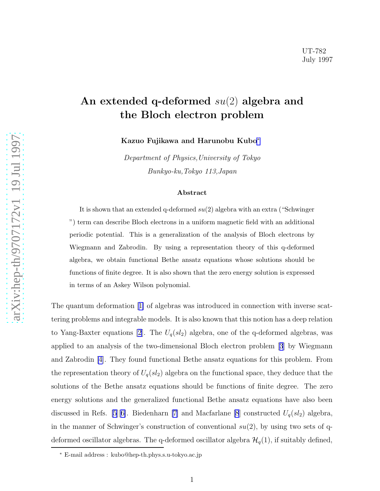[arXiv:hep-th/9707172v1 19 Jul 1997](http://arxiv.org/abs/hep-th/9707172v1)

 $arXiv:hep-th/9707172v1 19 Jul 1997$ 

## An extended q-deformed su(2) algebra and the Bloch electron problem

Kazuo Fujikawa and Harunobu Kubo ∗

Department of Physics,University of Tokyo Bunkyo-ku,Tokyo 113,Japan

## Abstract

It is shown that an extended q-deformed  $su(2)$  algebra with an extra ("Schwinger") ") term can describe Bloch electrons in a uniform magnetic field with an additional periodic potential. This is a generalization of the analysis of Bloch electrons by Wiegmann and Zabrodin. By using a representation theory of this q-deformed algebra, we obtain functional Bethe ansatz equations whose solutions should be functions of finite degree. It is also shown that the zero energy solution is expressed in terms of an Askey Wilson polynomial.

The quantum deformation[[1\]](#page-9-0) of algebras was introduced in connection with inverse scattering problems and integrable models. It is also known that this notion has a deep relation to Yang-Baxter equations [\[2](#page-9-0)]. The  $U_q(sl_2)$  algebra, one of the q-deformed algebras, was applied to an analysis of the two-dimensional Bloch electron problem[[3](#page-9-0)] by Wiegmann and Zabrodin [\[4\]](#page-9-0). They found functional Bethe ansatz equations for this problem. From the representation theory of  $U_q(sl_2)$  algebra on the functional space, they deduce that the solutions of the Bethe ansatz equations should be functions of finite degree. The zero energy solutions and the generalized functional Bethe ansatz equations have also been discussed in Refs. [\[5](#page-9-0)][[6\]](#page-9-0).Biedenharn [[7\]](#page-9-0) and Macfarlane [\[8](#page-9-0)] constructed  $U_q(sl_2)$  algebra, in the manner of Schwinger's construction of conventional  $su(2)$ , by using two sets of qdeformed oscillator algebras. The q-deformed oscillator algebra  $\mathcal{H}_q(1)$ , if suitably defined,

<sup>∗</sup> E-mail address : kubo@hep-th.phys.s.u-tokyo.ac.jp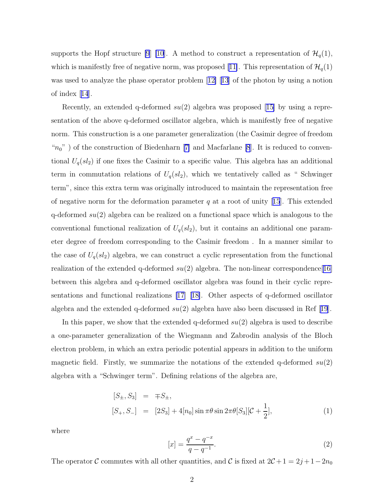<span id="page-1-0"></span>supports the Hopf structure [\[9](#page-9-0)] [\[10](#page-9-0)]. A method to construct a representation of  $\mathcal{H}_q(1)$ , which is manifestly free of negative norm, was proposed [\[11\]](#page-9-0). This representation of  $\mathcal{H}_q(1)$ wasused to analyze the phase operator problem  $[12]$   $[13]$  $[13]$  $[13]$  of the photon by using a notion of index[[14](#page-9-0)].

Recently,an extended q-deformed  $su(2)$  algebra was proposed [[15\]](#page-10-0) by using a representation of the above q-deformed oscillator algebra, which is manifestly free of negative norm. This construction is a one parameter generalization (the Casimir degree of freedom " $n_0$ ")of the construction of Biedenharn [[7\]](#page-9-0) and Macfarlane [\[8](#page-9-0)]. It is reduced to conventional  $U_q(sl_2)$  if one fixes the Casimir to a specific value. This algebra has an additional term in commutation relations of  $U_q(sl_2)$ , which we tentatively called as " Schwinger term", since this extra term was originally introduced to maintain the representation free ofnegative norm for the deformation parameter  $q$  at a root of unity [[15](#page-10-0)]. This extended q-deformed  $su(2)$  algebra can be realized on a functional space which is analogous to the conventional functional realization of  $U_q(sl_2)$ , but it contains an additional one parameter degree of freedom corresponding to the Casimir freedom . In a manner similar to the case of  $U_q(sl_2)$  algebra, we can construct a cyclic representation from the functional realization of the extended q-deformed  $su(2)$  algebra. The non-linear correspondence [[16\]](#page-10-0) between this algebra and q-deformed oscillator algebra was found in their cyclic representations and functional realizations [\[17](#page-10-0)][[18\]](#page-10-0). Other aspects of q-deformed oscillator algebraand the extended q-deformed  $su(2)$  algebra have also been discussed in Ref [[19](#page-10-0)].

In this paper, we show that the extended q-deformed  $su(2)$  algebra is used to describe a one-parameter generalization of the Wiegmann and Zabrodin analysis of the Bloch electron problem, in which an extra periodic potential appears in addition to the uniform magnetic field. Firstly, we summarize the notations of the extended q-deformed  $su(2)$ algebra with a "Schwinger term". Defining relations of the algebra are,

$$
[S_{\pm}, S_3] = \mp S_{\pm},
$$
  
\n
$$
[S_{+}, S_{-}] = [2S_3] + 4[n_0] \sin \pi \theta \sin 2\pi \theta [S_3] [\mathcal{C} + \frac{1}{2}],
$$
\n(1)

where

$$
[x] = \frac{q^x - q^{-x}}{q - q^{-1}}.\tag{2}
$$

The operator C commutes with all other quantities, and C is fixed at  $2C + 1 = 2j + 1 - 2n_0$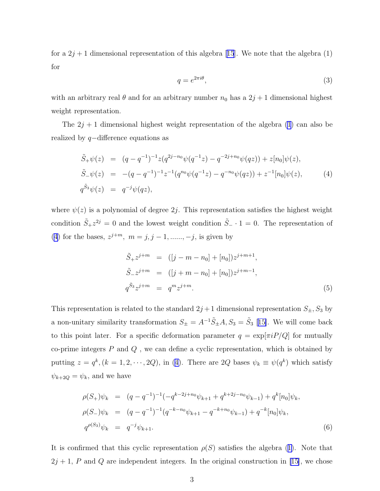fora  $2j + 1$  dimensional representation of this algebra [[15](#page-10-0)]. We note that the algebra (1) for

$$
q = e^{2\pi i \theta},\tag{3}
$$

with an arbitrary real  $\theta$  and for an arbitrary number  $n_0$  has a  $2j + 1$  dimensional highest weight representation.

The  $2j + 1$  dimensional highest weight representation of the algebra [\(1](#page-1-0)) can also be realized by q−difference equations as

$$
\tilde{S}_{+}\psi(z) = (q - q^{-1})^{-1}z(q^{2j - n_0}\psi(q^{-1}z) - q^{-2j + n_0}\psi(qz)) + z[n_0]\psi(z),
$$
  
\n
$$
\tilde{S}_{-}\psi(z) = -(q - q^{-1})^{-1}z^{-1}(q^{n_0}\psi(q^{-1}z) - q^{-n_0}\psi(qz)) + z^{-1}[n_0]\psi(z),
$$
\n(4)  
\n
$$
q^{\tilde{S}_3}\psi(z) = q^{-j}\psi(qz),
$$

where  $\psi(z)$  is a polynomial of degree 2j. This representation satisfies the highest weight condition  $\tilde{S}_+ z^{2j} = 0$  and the lowest weight condition  $\tilde{S}_- \cdot 1 = 0$ . The representation of (4) for the bases,  $z^{j+m}$ ,  $m = j, j - 1, \dots, -j$ , is given by

$$
\tilde{S}_{+}z^{j+m} = ([j - m - n_{0}] + [n_{0}])z^{j+m+1},
$$
  
\n
$$
\tilde{S}_{-}z^{j+m} = ([j + m - n_{0}] + [n_{0}])z^{j+m-1},
$$
  
\n
$$
q^{\tilde{S}_{3}}z^{j+m} = q^{m}z^{j+m}.
$$
\n(5)

This representation is related to the standard  $2j+1$  dimensional representation  $S_{\pm}$ ,  $S_3$  by a non-unitary similarity transformation  $S_{\pm} = A^{-1} \tilde{S}_{\pm} A$ ,  $S_3 = \tilde{S}_3$  [[15\]](#page-10-0). We will come back to this point later. For a specific deformation parameter  $q = \exp[\pi i P/Q]$  for mutually co-prime integers  $\boldsymbol{P}$  and  $\boldsymbol{Q}$  , we can define a cyclic representation, which is obtained by putting  $z = q^k$ ,  $(k = 1, 2, \dots, 2Q)$ , in (4). There are 2Q bases  $\psi_k \equiv \psi(q^k)$  which satisfy  $\psi_{k+2Q} = \psi_k$ , and we have

$$
\rho(S_+) \psi_k = (q - q^{-1})^{-1} (-q^{k-2j+n_0} \psi_{k+1} + q^{k+2j-n_0} \psi_{k-1}) + q^k [n_0] \psi_k,
$$
  
\n
$$
\rho(S_-) \psi_k = (q - q^{-1})^{-1} (q^{-k-n_0} \psi_{k+1} - q^{-k+n_0} \psi_{k-1}) + q^{-k} [n_0] \psi_k,
$$
  
\n
$$
q^{\rho(S_3)} \psi_k = q^{-j} \psi_{k+1}.
$$
\n(6)

Itis confirmed that this cyclic representation  $\rho(S)$  satisfies the algebra ([1\)](#page-1-0). Note that  $2j + 1$ , P and Q are independent integers. In the original construction in [\[15\]](#page-10-0), we chose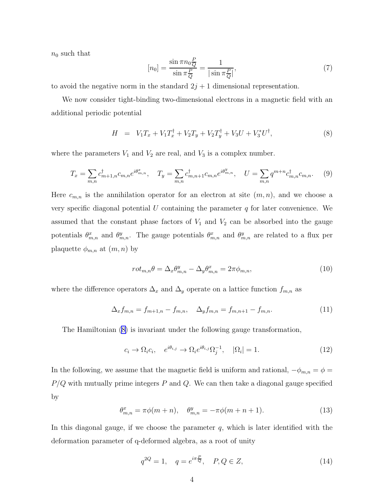<span id="page-3-0"></span> $n_0$  such that

$$
[n_0] = \frac{\sin \pi n_0 \frac{P}{Q}}{\sin \pi \frac{P}{Q}} = \frac{1}{|\sin \pi \frac{P}{Q}|},\tag{7}
$$

to avoid the negative norm in the standard  $2j + 1$  dimensional representation.

We now consider tight-binding two-dimensional electrons in a magnetic field with an additional periodic potential

$$
H = V_1 T_x + V_1 T_x^{\dagger} + V_2 T_y + V_2 T_y^{\dagger} + V_3 U + V_3^* U^{\dagger}, \tag{8}
$$

where the parameters  $V_1$  and  $V_2$  are real, and  $V_3$  is a complex number.

$$
T_x = \sum_{m,n} c_{m+1,n}^\dagger c_{m,n} e^{i\theta_{m,n}^x}, \quad T_y = \sum_{m,n} c_{m,n+1}^\dagger c_{m,n} e^{i\theta_{m,n}^y}, \quad U = \sum_{m,n} q^{m+n} c_{m,n}^\dagger c_{m,n}.
$$
 (9)

Here  $c_{m,n}$  is the annihilation operator for an electron at site  $(m, n)$ , and we choose a very specific diagonal potential  $U$  containing the parameter  $q$  for later convenience. We assumed that the constant phase factors of  $V_1$  and  $V_2$  can be absorbed into the gauge potentials  $\theta_{m,n}^x$  and  $\theta_{m,n}^y$ . The gauge potentials  $\theta_{m,n}^x$  and  $\theta_{m,n}^y$  are related to a flux per plaquette  $\phi_{m,n}$  at  $(m, n)$  by

$$
rot_{m,n}\theta = \Delta_x \theta_{m,n}^y - \Delta_y \theta_{m,n}^x = 2\pi \phi_{m,n},\tag{10}
$$

where the difference operators  $\Delta_x$  and  $\Delta_y$  operate on a lattice function  $f_{m,n}$  as

$$
\Delta_x f_{m,n} = f_{m+1,n} - f_{m,n}, \quad \Delta_y f_{m,n} = f_{m,n+1} - f_{m,n}.
$$
\n(11)

The Hamiltonian (8) is invariant under the following gauge transformation,

$$
c_i \to \Omega_i c_i, \quad e^{i\theta_{i,j}} \to \Omega_i e^{i\theta_{i,j}} \Omega_j^{-1}, \quad |\Omega_i| = 1. \tag{12}
$$

In the following, we assume that the magnetic field is uniform and rational,  $-\phi_{m,n} = \phi =$  $P/Q$  with mutually prime integers  $P$  and  $Q$ . We can then take a diagonal gauge specified by

$$
\theta_{m,n}^x = \pi \phi(m+n), \quad \theta_{m,n}^y = -\pi \phi(m+n+1). \tag{13}
$$

In this diagonal gauge, if we choose the parameter  $q$ , which is later identified with the deformation parameter of q-deformed algebra, as a root of unity

$$
q^{2Q} = 1, \quad q = e^{i\pi \frac{P}{Q}}, \quad P, Q \in Z,
$$
 (14)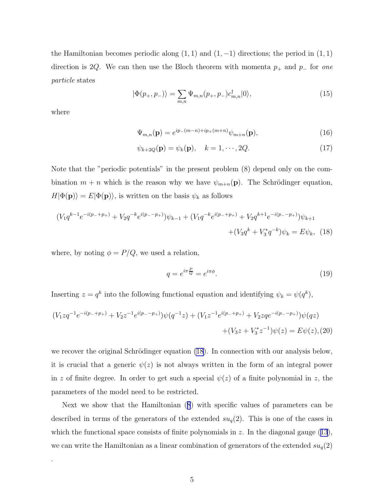<span id="page-4-0"></span>the Hamiltonian becomes periodic along  $(1, 1)$  and  $(1, -1)$  directions; the period in  $(1, 1)$ direction is 2Q. We can then use the Bloch theorem with momenta  $p_+$  and  $p_-\$  for one particle states

$$
|\Phi(p_+, p_-)\rangle = \sum_{m,n} \Psi_{m,n}(p_+, p_-) c_{m,n}^\dagger |0\rangle,\tag{15}
$$

where

.

$$
\Psi_{m,n}(\mathbf{p}) = e^{ip_{-}(m-n)+ip_{+}(m+n)}\psi_{m+n}(\mathbf{p}),
$$
\n(16)

$$
\psi_{k+2Q}(\mathbf{p}) = \psi_k(\mathbf{p}), \quad k = 1, \cdots, 2Q. \tag{17}
$$

Note that the "periodic potentials" in the present problem (8) depend only on the combination  $m + n$  which is the reason why we have  $\psi_{m+n}(\mathbf{p})$ . The Schrödinger equation,  $H|\Phi(\mathbf{p})\rangle = E|\Phi(\mathbf{p})\rangle$ , is written on the basis  $\psi_k$  as follows

$$
(V_1 q^{k-1} e^{-i(p_{-}+p_{+})} + V_2 q^{-k} e^{i(p_{-}-p_{+})}) \psi_{k-1} + (V_1 q^{-k} e^{i(p_{-}+p_{+})} + V_2 q^{k+1} e^{-i(p_{-}-p_{+})}) \psi_{k+1} + (V_3 q^k + V_3^* q^{-k}) \psi_k = E \psi_k, \quad (18)
$$

where, by noting  $\phi = P/Q$ , we used a relation,

$$
q = e^{i\pi \frac{P}{Q}} = e^{i\pi \phi}.
$$
\n(19)

Inserting  $z = q^k$  into the following functional equation and identifying  $\psi_k = \psi(q^k)$ ,

$$
(V_1 zq^{-1}e^{-i(p_{-}+p_{+})} + V_2 z^{-1}e^{i(p_{-}-p_{+})})\psi(q^{-1}z) + (V_1 z^{-1}e^{i(p_{-}+p_{+})} + V_2 zqe^{-i(p_{-}-p_{+})})\psi(qz) + (V_3 z + V_3^* z^{-1})\psi(z) = E\psi(z), (20)
$$

we recover the original Schrödinger equation  $(18)$ . In connection with our analysis below, it is crucial that a generic  $\psi(z)$  is not always written in the form of an integral power in z of finite degree. In order to get such a special  $\psi(z)$  of a finite polynomial in z, the parameters of the model need to be restricted.

Next we show that the Hamiltonian([8](#page-3-0)) with specific values of parameters can be described in terms of the generators of the extended  $su_q(2)$ . This is one of the cases in whichthe functional space consists of finite polynomials in z. In the diagonal gauge  $(13)$  $(13)$  $(13)$ , we can write the Hamiltonian as a linear combination of generators of the extended  $su_q(2)$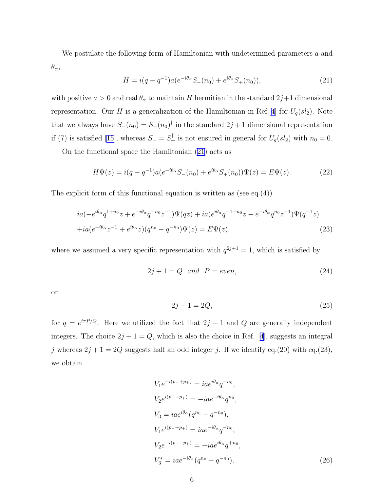<span id="page-5-0"></span>We postulate the following form of Hamiltonian with undetermined parameters a and  $\theta_\alpha,$ 

$$
H = i(q - q^{-1})a(e^{-i\theta_{\alpha}}S_{-}(n_0) + e^{i\theta_{\alpha}}S_{+}(n_0)),
$$
\n(21)

with positive  $a > 0$  and real  $\theta_{\alpha}$  to maintain H hermitian in the standard  $2j+1$  dimensional representation. Our H is a generalization of the Hamiltonian in Ref.[\[4\]](#page-9-0) for  $U_q(sl_2)$ . Note that we always have  $S_-(n_0) = S_+(n_0)^\dagger$  in the standard  $2j+1$  dimensional representation if(7) is satisfied [[15\]](#page-10-0), whereas  $S_-=S_+^{\dagger}$  is not ensured in general for  $U_q(sl_2)$  with  $n_0=0$ .

On the functional space the Hamiltonian (21) acts as

$$
H\Psi(z) = i(q - q^{-1})a(e^{-i\theta_{\alpha}}S_{-}(n_0) + e^{i\theta_{\alpha}}S_{+}(n_0))\Psi(z) = E\Psi(z).
$$
 (22)

The explicit form of this functional equation is written as (see eq.(4))

$$
ia(-e^{i\theta_{\alpha}}q^{1+n_{0}}z + e^{-i\theta_{\alpha}}q^{-n_{0}}z^{-1})\Psi(qz) + ia(e^{i\theta_{\alpha}}q^{-1-n_{0}}z - e^{-i\theta_{\alpha}}q^{n_{0}}z^{-1})\Psi(q^{-1}z) +ia(e^{-i\theta_{\alpha}}z^{-1} + e^{i\theta_{\alpha}}z)(q^{n_{0}} - q^{-n_{0}})\Psi(z) = E\Psi(z),
$$
\n(23)

where we assumed a very specific representation with  $q^{2j+1} = 1$ , which is satisfied by

$$
2j + 1 = Q \quad and \quad P = even,\tag{24}
$$

or

$$
2j + 1 = 2Q,\t(25)
$$

for  $q = e^{i\pi P/Q}$ . Here we utilized the fact that  $2j + 1$  and Q are generally independent integers. The choice  $2j + 1 = Q$ , which is also the choice in Ref. [\[4](#page-9-0)], suggests an integral j whereas  $2j + 1 = 2Q$  suggests half an odd integer j. If we identify eq.(20) with eq.(23), we obtain

$$
V_1 e^{-i(p_{-} + p_{+})} = i a e^{i\theta_{\alpha}} q^{-n_0},
$$
  
\n
$$
V_2 e^{i(p_{-} - p_{+})} = -i a e^{-i\theta_{\alpha}} q^{n_0},
$$
  
\n
$$
V_3 = i a e^{i\theta_{\alpha}} (q^{n_0} - q^{-n_0}),
$$
  
\n
$$
V_1 e^{i(p_{-} + p_{+})} = i a e^{-i\theta_{\alpha}} q^{-n_0},
$$
  
\n
$$
V_2 e^{-i(p_{-} - p_{+})} = -i a e^{i\theta_{\alpha}} q^{+n_0},
$$
  
\n
$$
V_3^* = i a e^{-i\theta_{\alpha}} (q^{n_0} - q^{-n_0}).
$$
\n(26)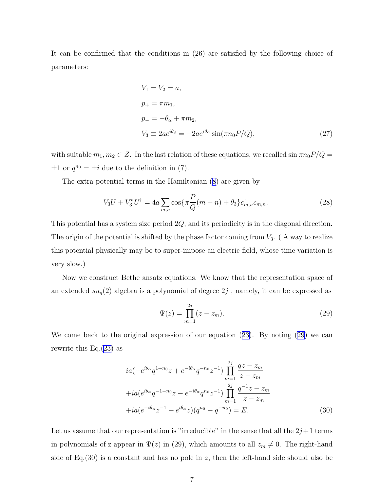It can be confirmed that the conditions in (26) are satisfied by the following choice of parameters:

$$
V_1 = V_2 = a,
$$
  
\n
$$
p_+ = \pi m_1,
$$
  
\n
$$
p_- = -\theta_\alpha + \pi m_2,
$$
  
\n
$$
V_3 \equiv 2ae^{i\theta_3} = -2ae^{i\theta_\alpha}\sin(\pi n_0 P/Q),
$$
\n(27)

with suitable  $m_1, m_2 \in \mathbb{Z}$ . In the last relation of these equations, we recalled  $\sin \pi n_0 P/Q =$  $\pm 1$  or  $q^{n_0} = \pm i$  due to the definition in (7).

The extra potential terms in the Hamiltonian [\(8\)](#page-3-0) are given by

$$
V_3 U + V_3^* U^{\dagger} = 4a \sum_{m,n} \cos\{\pi \frac{P}{Q}(m+n) + \theta_3\} c_{m,n}^{\dagger} c_{m,n}.
$$
 (28)

This potential has a system size period 2Q, and its periodicity is in the diagonal direction. The origin of the potential is shifted by the phase factor coming from  $V_3$ . (A way to realize this potential physically may be to super-impose an electric field, whose time variation is very slow.)

Now we construct Bethe ansatz equations. We know that the representation space of an extended  $su_q(2)$  algebra is a polynomial of degree  $2j$ , namely, it can be expressed as

$$
\Psi(z) = \prod_{m=1}^{2j} (z - z_m). \tag{29}
$$

We come back to the original expression of our equation([23\)](#page-5-0). By noting (29) we can rewrite this Eq. $(23)$  $(23)$  as

$$
ia(-e^{i\theta_{\alpha}}q^{1+n_{0}}z + e^{-i\theta_{\alpha}}q^{-n_{0}}z^{-1})\prod_{m=1}^{2j} \frac{qz - z_{m}}{z - z_{m}}
$$
  
+
$$
+ia(e^{i\theta_{\alpha}}q^{-1-n_{0}}z - e^{-i\theta_{\alpha}}q^{n_{0}}z^{-1})\prod_{m=1}^{2j} \frac{q^{-1}z - z_{m}}{z - z_{m}}
$$
  
+
$$
+ia(e^{-i\theta_{\alpha}}z^{-1} + e^{i\theta_{\alpha}}z)(q^{n_{0}} - q^{-n_{0}}) = E.
$$
 (30)

Let us assume that our representation is "irreducible" in the sense that all the  $2j+1$  terms in polynomials of z appear in  $\Psi(z)$  in (29), which amounts to all  $z_m \neq 0$ . The right-hand side of Eq.(30) is a constant and has no pole in z, then the left-hand side should also be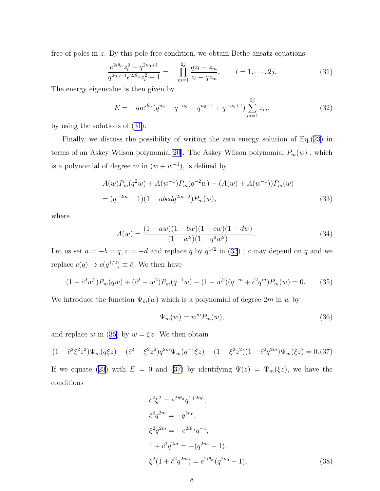<span id="page-7-0"></span>free of poles in z. By this pole free condition, we obtain Bethe ansatz equations

$$
\frac{e^{2i\theta_{\alpha}}z_l^2 - q^{2n_0+1}}{q^{2n_0+1}e^{2i\theta_{\alpha}}z_l^2 + 1} = -\prod_{m=1}^{2j} \frac{qz_l - z_m}{z_l - qz_m}, \qquad l = 1, \cdots, 2j.
$$
\n(31)

The energy eigenvalue is then given by

$$
E = -iae^{i\theta_{\alpha}}(q^{n_0} - q^{-n_0} - q^{n_0 - 1} + q^{-n_0 + 1})\sum_{m=1}^{2j} z_m,
$$
\n(32)

by using the solutions of (31).

Finally, we discuss the possibility of writing the zero energy solution of Eq.([23\)](#page-5-0) in terms of an Askey Wilson polynomial<sup>[[20\]](#page-10-0)</sup>. The Askey Wilson polynomial  $P_m(w)$ , which is a polynomial of degree m in  $(w + w^{-1})$ , is defined by

$$
A(w)P_m(q^2w) + A(w^{-1})P_m(q^{-2}w) - (A(w) + A(w^{-1}))P_m(w)
$$
  
=  $(q^{-2m} - 1)(1 - abcdq^{2m-2})P_m(w)$ , (33)

where

$$
A(w) = \frac{(1 - aw)(1 - bw)(1 - cw)(1 - dw)}{(1 - w^2)(1 - q^2 w^2)}.
$$
\n(34)

Let us set  $a = -b = q$ ,  $c = -d$  and replace q by  $q^{1/2}$  in (33); c may depend on q and we replace  $c(q) \to c(q^{1/2}) \equiv \bar{c}$ . We then have

$$
(1 - \bar{c}^2 w^2) P_m(qw) + (\bar{c}^2 - w^2) P_m(q^{-1}w) - (1 - w^2)(q^{-m} + \bar{c}^2 q^m) P_m(w) = 0.
$$
 (35)

We introduce the function  $\Psi_m(w)$  which is a polynomial of degree  $2m$  in w by

$$
\Psi_m(w) = w^m P_m(w),\tag{36}
$$

and replace w in (35) by  $w = \xi z$ . We then obtain

$$
(1 - \bar{c}^2 \xi^2 z^2) \Psi_m(q\xi z) + (\bar{c}^2 - \xi^2 z^2) q^{2m} \Psi_m(q^{-1} \xi z) - (1 - \xi^2 z^2) (1 + \bar{c}^2 q^{2m}) \Psi_m(\xi z) = 0. (37)
$$

Ifwe equate ([23](#page-5-0)) with  $E = 0$  and (37) by identifying  $\Psi(z) = \Psi_m(\xi z)$ , we have the conditions

$$
\bar{c}^{2}\xi^{2} = e^{2i\theta_{\alpha}}q^{1+2n_{0}},
$$
  
\n
$$
\bar{c}^{2}q^{2m} = -q^{2n_{0}},
$$
  
\n
$$
\xi^{2}q^{2m} = -e^{2i\theta_{\alpha}}q^{-1},
$$
  
\n
$$
1 + \bar{c}^{2}q^{2m} = -(q^{2n_{0}} - 1),
$$
  
\n
$$
\xi^{2}(1 + \bar{c}^{2}q^{2m}) = e^{2i\theta_{\alpha}}(q^{2n_{0}} - 1),
$$
\n(38)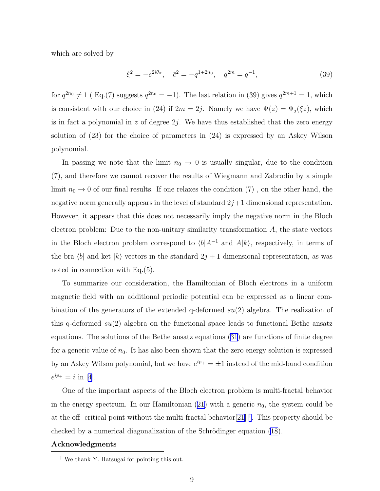which are solved by

$$
\xi^2 = -e^{2i\theta_\alpha}, \quad \bar{c}^2 = -q^{1+2n_0}, \quad q^{2m} = q^{-1}, \tag{39}
$$

for  $q^{2n_0} \neq 1$  (Eq.(7) suggests  $q^{2n_0} = -1$ ). The last relation in (39) gives  $q^{2m+1} = 1$ , which is consistent with our choice in (24) if  $2m = 2j$ . Namely we have  $\Psi(z) = \Psi_j(\xi z)$ , which is in fact a polynomial in  $z$  of degree  $2j$ . We have thus established that the zero energy solution of (23) for the choice of parameters in (24) is expressed by an Askey Wilson polynomial.

In passing we note that the limit  $n_0 \rightarrow 0$  is usually singular, due to the condition (7), and therefore we cannot recover the results of Wiegmann and Zabrodin by a simple limit  $n_0 \to 0$  of our final results. If one relaxes the condition  $(7)$  , on the other hand, the negative norm generally appears in the level of standard  $2j+1$  dimensional representation. However, it appears that this does not necessarily imply the negative norm in the Bloch electron problem: Due to the non-unitary similarity transformation  $A$ , the state vectors in the Bloch electron problem correspond to  $\langle b|A^{-1}$  and  $A|k\rangle$ , respectively, in terms of the bra  $\langle b|$  and ket  $|k\rangle$  vectors in the standard  $2j + 1$  dimensional representation, as was noted in connection with Eq.(5).

To summarize our consideration, the Hamiltonian of Bloch electrons in a uniform magnetic field with an additional periodic potential can be expressed as a linear combination of the generators of the extended q-deformed  $su(2)$  algebra. The realization of this q-deformed  $su(2)$  algebra on the functional space leads to functional Bethe ansatz equations. The solutions of the Bethe ansatz equations [\(31](#page-7-0)) are functions of finite degree for a generic value of  $n_0$ . It has also been shown that the zero energy solution is expressed by an Askey Wilson polynomial, but we have  $e^{ip_+} = \pm 1$  instead of the mid-band condition  $e^{ip_{+}} = i \text{ in } [4].$  $e^{ip_{+}} = i \text{ in } [4].$  $e^{ip_{+}} = i \text{ in } [4].$ 

One of the important aspects of the Bloch electron problem is multi-fractal behavior inthe energy spectrum. In our Hamiltonian  $(21)$  $(21)$  with a generic  $n_0$ , the system could be at the off- critical point without the multi-fractal behavior[\[21](#page-10-0)] † . This property should be checked by a numerical diagonalization of the Schrödinger equation  $(18)$ .

## Acknowledgments

<sup>†</sup> We thank Y. Hatsugai for pointing this out.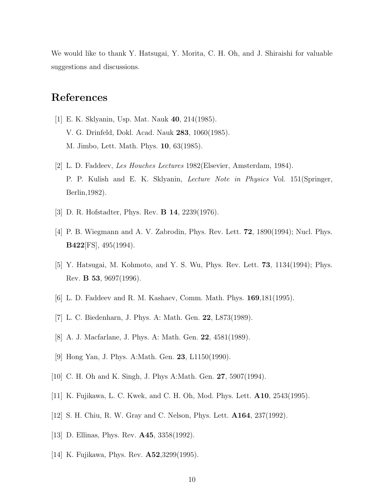<span id="page-9-0"></span>We would like to thank Y. Hatsugai, Y. Morita, C. H. Oh, and J. Shiraishi for valuable suggestions and discussions.

## References

- [1] E. K. Sklyanin, Usp. Mat. Nauk 40, 214(1985). V. G. Drinfeld, Dokl. Acad. Nauk 283, 1060(1985). M. Jimbo, Lett. Math. Phys. 10, 63(1985).
- [2] L. D. Faddeev, Les Houches Lectures 1982(Elsevier, Amsterdam, 1984). P. P. Kulish and E. K. Sklyanin, Lecture Note in Physics Vol. 151(Springer, Berlin,1982).
- [3] D. R. Hofstadter, Phys. Rev. **B 14**, 2239(1976).
- [4] P. B. Wiegmann and A. V. Zabrodin, Phys. Rev. Lett. 72, 1890(1994); Nucl. Phys. B422[FS], 495(1994).
- [5] Y. Hatsugai, M. Kohmoto, and Y. S. Wu, Phys. Rev. Lett. 73, 1134(1994); Phys. Rev. B 53, 9697(1996).
- [6] L. D. Faddeev and R. M. Kashaev, Comm. Math. Phys. 169,181(1995).
- [7] L. C. Biedenharn, J. Phys. A: Math. Gen. 22, L873(1989).
- [8] A. J. Macfarlane, J. Phys. A: Math. Gen. 22, 4581(1989).
- [9] Hong Yan, J. Phys. A:Math. Gen. 23, L1150(1990).
- [10] C. H. Oh and K. Singh, J. Phys A:Math. Gen. 27, 5907(1994).
- [11] K. Fujikawa, L. C. Kwek, and C. H. Oh, Mod. Phys. Lett. A10, 2543(1995).
- [12] S. H. Chiu, R. W. Gray and C. Nelson, Phys. Lett. A164, 237(1992).
- [13] D. Ellinas, Phys. Rev. **A45**, 3358(1992).
- [14] K. Fujikawa, Phys. Rev. A52,3299(1995).